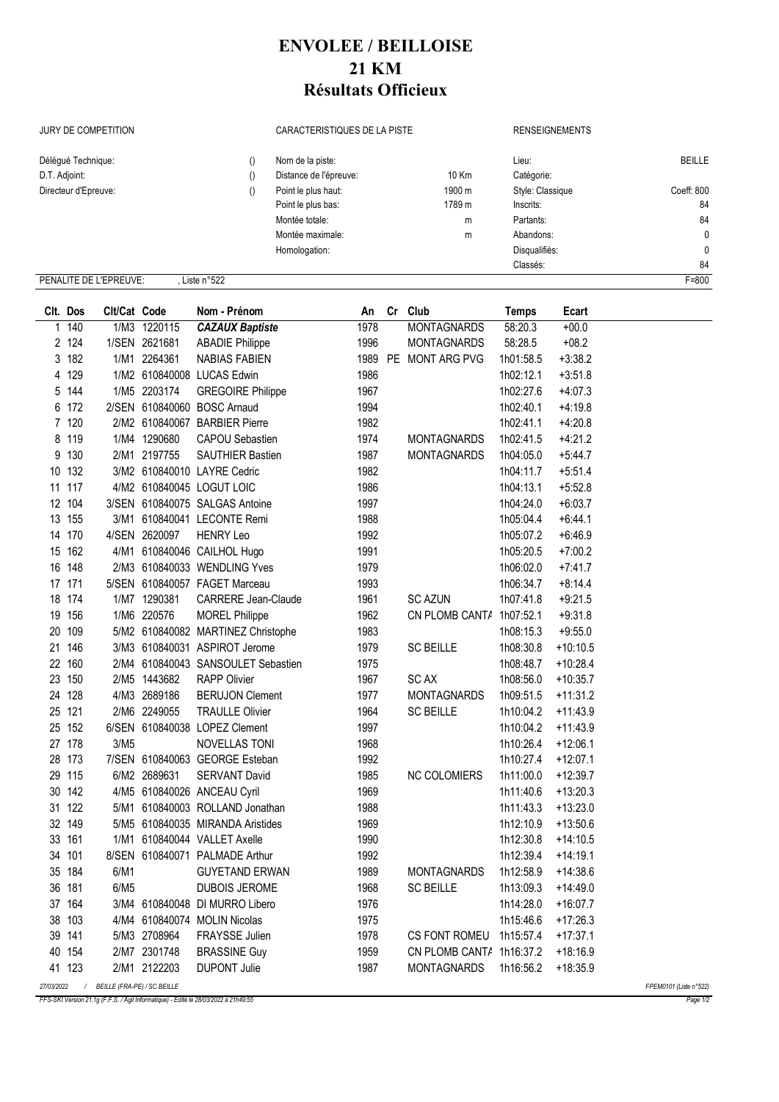## **ENVOLEE / BEILLOISE 21 KM Résultats Officieux**

JURY DE COMPETITION CARACTERISTIQUES DE LA PISTE RENSEIGNEMENTS

| Délégué Technique:     |               | Nom de la piste:       |        | Lieu:            | <b>BEILLE</b> |
|------------------------|---------------|------------------------|--------|------------------|---------------|
| D.T. Adjoint:          |               | Distance de l'épreuve: | 10 Km  | Catégorie:       |               |
| Directeur d'Epreuve:   |               | Point le plus haut:    | 1900 m | Style: Classique | Coeff: 800    |
|                        |               | Point le plus bas:     | 1789 m | Inscrits:        | 84            |
|                        |               | Montée totale:         | m      | Partants:        | 84            |
|                        |               | Montée maximale:       | m      | Abandons:        | 0             |
|                        |               | Homologation:          |        | Disqualifiés:    | $\mathbf{0}$  |
|                        |               |                        |        | Classés:         | 84            |
| PENALITE DE L'EPREUVE: | Liste $n°522$ |                        |        |                  | $F = 800$     |

|            | Clt. Dos | Clt/Cat Code                |               | Nom - Prénom                       |      | An Cr Club               | <b>Temps</b> | Ecart      |                        |
|------------|----------|-----------------------------|---------------|------------------------------------|------|--------------------------|--------------|------------|------------------------|
| 1          | 140      |                             | 1/M3 1220115  | <b>CAZAUX Baptiste</b>             | 1978 | <b>MONTAGNARDS</b>       | 58:20.3      | $+00.0$    |                        |
|            | 2 124    |                             | 1/SEN 2621681 | <b>ABADIE Philippe</b>             | 1996 | <b>MONTAGNARDS</b>       | 58:28.5      | $+08.2$    |                        |
|            | 3 182    |                             | 1/M1 2264361  | <b>NABIAS FABIEN</b>               |      | 1989 PE MONT ARG PVG     | 1h01:58.5    | $+3:38.2$  |                        |
|            | 4 129    |                             |               | 1/M2 610840008 LUCAS Edwin         | 1986 |                          | 1h02:12.1    | $+3:51.8$  |                        |
|            | 5 144    |                             | 1/M5 2203174  | <b>GREGOIRE Philippe</b>           | 1967 |                          | 1h02:27.6    | $+4:07.3$  |                        |
|            | 6 172    |                             |               | 2/SEN 610840060 BOSC Arnaud        | 1994 |                          | 1h02:40.1    | $+4:19.8$  |                        |
|            | 7 120    |                             |               | 2/M2 610840067 BARBIER Pierre      | 1982 |                          | 1h02:41.1    | $+4:20.8$  |                        |
|            | 8 119    |                             | 1/M4 1290680  | <b>CAPOU Sebastien</b>             | 1974 | <b>MONTAGNARDS</b>       | 1h02:41.5    | $+4:21.2$  |                        |
|            | 9 130    |                             | 2/M1 2197755  | SAUTHIER Bastien                   | 1987 | <b>MONTAGNARDS</b>       | 1h04:05.0    | $+5:44.7$  |                        |
|            | 10 132   |                             |               | 3/M2 610840010 LAYRE Cedric        | 1982 |                          | 1h04:11.7    | $+5:51.4$  |                        |
|            | 11 117   |                             |               | 4/M2 610840045 LOGUT LOIC          | 1986 |                          | 1h04:13.1    | $+5:52.8$  |                        |
|            | 12 104   |                             |               | 3/SEN 610840075 SALGAS Antoine     | 1997 |                          | 1h04:24.0    | $+6:03.7$  |                        |
|            | 13 155   |                             |               | 3/M1 610840041 LECONTE Remi        | 1988 |                          | 1h05:04.4    | $+6:44.1$  |                        |
|            | 14 170   |                             | 4/SEN 2620097 | <b>HENRY Leo</b>                   | 1992 |                          | 1h05:07.2    | $+6:46.9$  |                        |
|            | 15 162   |                             |               | 4/M1 610840046 CAILHOL Hugo        | 1991 |                          | 1h05:20.5    | $+7:00.2$  |                        |
|            | 16 148   |                             |               | 2/M3 610840033 WENDLING Yves       | 1979 |                          | 1h06:02.0    | $+7:41.7$  |                        |
|            | 17 171   |                             |               | 5/SEN 610840057 FAGET Marceau      | 1993 |                          | 1h06:34.7    | $+8:14.4$  |                        |
|            | 18 174   |                             | 1/M7 1290381  | <b>CARRERE Jean-Claude</b>         | 1961 | <b>SC AZUN</b>           | 1h07:41.8    | $+9:21.5$  |                        |
|            | 19 156   |                             | 1/M6 220576   | <b>MOREL Philippe</b>              | 1962 | CN PLOMB CANTA 1h07:52.1 |              | $+9:31.8$  |                        |
|            | 20 109   |                             |               | 5/M2 610840082 MARTINEZ Christophe | 1983 |                          | 1h08:15.3    | $+9:55.0$  |                        |
|            | 21 146   |                             |               | 3/M3 610840031 ASPIROT Jerome      | 1979 | <b>SC BEILLE</b>         | 1h08:30.8    | $+10:10.5$ |                        |
|            | 22 160   |                             |               | 2/M4 610840043 SANSOULET Sebastien | 1975 |                          | 1h08:48.7    | $+10:28.4$ |                        |
|            | 23 150   |                             | 2/M5 1443682  | <b>RAPP Olivier</b>                | 1967 | <b>SCAX</b>              | 1h08:56.0    | $+10:35.7$ |                        |
|            | 24 128   |                             | 4/M3 2689186  | <b>BERUJON Clement</b>             | 1977 | <b>MONTAGNARDS</b>       | 1h09:51.5    | $+11:31.2$ |                        |
|            | 25 121   |                             | 2/M6 2249055  | <b>TRAULLE Olivier</b>             | 1964 | <b>SC BEILLE</b>         | 1h10:04.2    | $+11:43.9$ |                        |
|            | 25 152   |                             |               | 6/SEN 610840038 LOPEZ Clement      | 1997 |                          | 1h10:04.2    | $+11:43.9$ |                        |
|            | 27 178   | 3/M5                        |               | NOVELLAS TONI                      | 1968 |                          | 1h10:26.4    | $+12:06.1$ |                        |
|            | 28 173   |                             |               | 7/SEN 610840063 GEORGE Esteban     | 1992 |                          | 1h10:27.4    | $+12:07.1$ |                        |
|            | 29 115   |                             | 6/M2 2689631  | <b>SERVANT David</b>               | 1985 | <b>NC COLOMIERS</b>      | 1h11:00.0    | $+12:39.7$ |                        |
|            | 30 142   |                             |               | 4/M5 610840026 ANCEAU Cyril        | 1969 |                          | 1h11:40.6    | $+13:20.3$ |                        |
|            | 31 122   |                             |               | 5/M1 610840003 ROLLAND Jonathan    | 1988 |                          | 1h11:43.3    | $+13:23.0$ |                        |
|            | 32 149   |                             |               | 5/M5 610840035 MIRANDA Aristides   | 1969 |                          | 1h12:10.9    | $+13:50.6$ |                        |
|            | 33 161   |                             |               | 1/M1 610840044 VALLET Axelle       | 1990 |                          | 1h12:30.8    | $+14:10.5$ |                        |
|            | 34 101   |                             |               | 8/SEN 610840071 PALMADE Arthur     | 1992 |                          | 1h12:39.4    | $+14:19.1$ |                        |
|            | 35 184   | 6/M1                        |               | <b>GUYETAND ERWAN</b>              | 1989 | <b>MONTAGNARDS</b>       | 1h12:58.9    | $+14:38.6$ |                        |
|            | 36 181   | 6/M5                        |               | DUBOIS JEROME                      | 1968 | <b>SC BEILLE</b>         | 1h13:09.3    | $+14:49.0$ |                        |
|            | 37 164   |                             |               | 3/M4 610840048 DI MURRO Libero     | 1976 |                          | 1h14:28.0    | $+16:07.7$ |                        |
|            | 38 103   |                             |               | 4/M4 610840074 MOLIN Nicolas       | 1975 |                          | 1h15:46.6    | $+17:26.3$ |                        |
|            | 39 141   |                             | 5/M3 2708964  | FRAYSSE Julien                     | 1978 | CS FONT ROMEU            | 1h15:57.4    | $+17:37.1$ |                        |
|            | 40 154   |                             | 2/M7 2301748  | <b>BRASSINE Guy</b>                | 1959 | CN PLOMB CANTA           | 1h16:37.2    | $+18:16.9$ |                        |
|            | 41 123   |                             | 2/M1 2122203  | <b>DUPONT Julie</b>                | 1987 | <b>MONTAGNARDS</b>       | 1h16:56.2    | $+18:35.9$ |                        |
| 27/03/2022 | $\prime$ | BEILLE (FRA-PE) / SC BEILLE |               |                                    |      |                          |              |            | FPEM0101 (Liste n°522) |

*FFS-SKI Version 21.1g (F.F.S. / Agil Informatique) - Edité le 28/03/2022 à 21h49:55 Page 1/2*